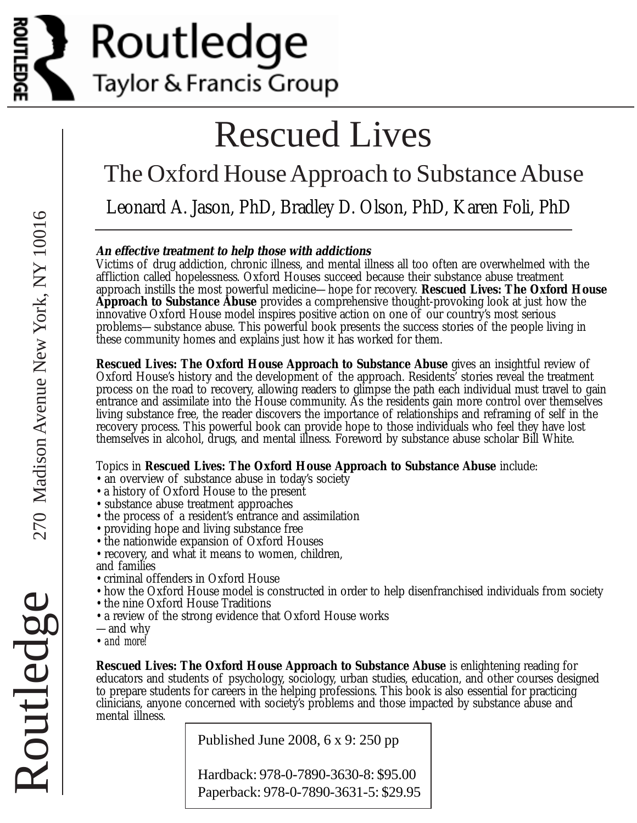

# Rescued Lives

# The Oxford House Approach to Substance Abuse

Leonard A. Jason, PhD, Bradley D. Olson, PhD, Karen Foli, PhD

#### **An effective treatment to help those with addictions**

Victims of drug addiction, chronic illness, and mental illness all too often are overwhelmed with the affliction called hopelessness. Oxford Houses succeed because their substance abuse treatment approach instills the most powerful medicine—hope for recovery. **Rescued Lives: The Oxford House Approach to Substance Abuse** provides a comprehensive thought-provoking look at just how the innovative Oxford House model inspires positive action on one of our country's most serious problems—substance abuse. This powerful book presents the success stories of the people living in these community homes and explains just how it has worked for them.

**Rescued Lives: The Oxford House Approach to Substance Abuse** gives an insightful review of Oxford House's history and the development of the approach. Residents' stories reveal the treatment process on the road to recovery, allowing readers to glimpse the path each individual must travel to gain entrance and assimilate into the House community. As the residents gain more control over themselves living substance free, the reader discovers the importance of relationships and reframing of self in the recovery process. This powerful book can provide hope to those individuals who feel they have lost themselves in alcohol, drugs, and mental illness. Foreword by substance abuse scholar Bill White.

#### Topics in **Rescued Lives: The Oxford House Approach to Substance Abuse** include:

- an overview of substance abuse in today's society
- a history of Oxford House to the present
- substance abuse treatment approaches
- the process of a resident's entrance and assimilation
- providing hope and living substance free
- the nationwide expansion of Oxford Houses
- recovery, and what it means to women, children,
- and families
- criminal offenders in Oxford House
- how the Oxford House model is constructed in order to help disenfranchised individuals from society
- the nine Oxford House Traditions
- a review of the strong evidence that Oxford House works
- —and why
- *and more!*

**Rescued Lives: The Oxford House Approach to Substance Abuse** is enlightening reading for educators and students of psychology, sociology, urban studies, education, and other courses designed to prepare students for careers in the helping professions. This book is also essential for practicing clinicians, anyone concerned with society's problems and those impacted by substance abuse and mental illness.

Published June 2008, 6 x 9: 250 pp

Hardback: 978-0-7890-3630-8: \$95.00 Paperback: 978-0-7890-3631-5: \$29.95